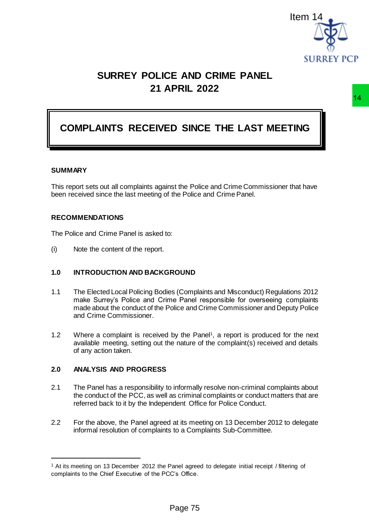

# **SURREY POLICE AND CRIME PANEL 21 APRIL 2022**

# **COMPLAINTS RECEIVED SINCE THE LAST MEETING**

#### **SUMMARY**

 $\overline{a}$ 

This report sets out all complaints against the Police and Crime Commissioner that have been received since the last meeting of the Police and Crime Panel.

#### **RECOMMENDATIONS**

The Police and Crime Panel is asked to:

(i) Note the content of the report.

#### **1.0 INTRODUCTION AND BACKGROUND**

- 1.1 The Elected Local Policing Bodies (Complaints and Misconduct) Regulations 2012 make Surrey's Police and Crime Panel responsible for overseeing complaints made about the conduct of the Police and Crime Commissioner and Deputy Police and Crime Commissioner. Item<br>
FRIE AND CRIME PANEL<br>
SURREY PCP<br>
D SINCE THE LAST MEETING<br>
Institute Police and Crime Commissioner that have<br>
the Police and Crime Commissioner that have<br>
the Police and Crime Commissioner that have<br>
the Police and
- 1.2 Where a complaint is received by the Panel<sup>1</sup>, a report is produced for the next available meeting, setting out the nature of the complaint(s) received and details of any action taken.

## **2.0 ANALYSIS AND PROGRESS**

- 2.1 The Panel has a responsibility to informally resolve non-criminal complaints about the conduct of the PCC, as well as criminal complaints or conduct matters that are referred back to it by the Independent Office for Police Conduct.
- 2.2 For the above, the Panel agreed at its meeting on 13 December 2012 to delegate informal resolution of complaints to a Complaints Sub-Committee.

<sup>1</sup> At its meeting on 13 December 2012 the Panel agreed to delegate initial receipt / filtering of complaints to the Chief Executive of the PCC's Office.